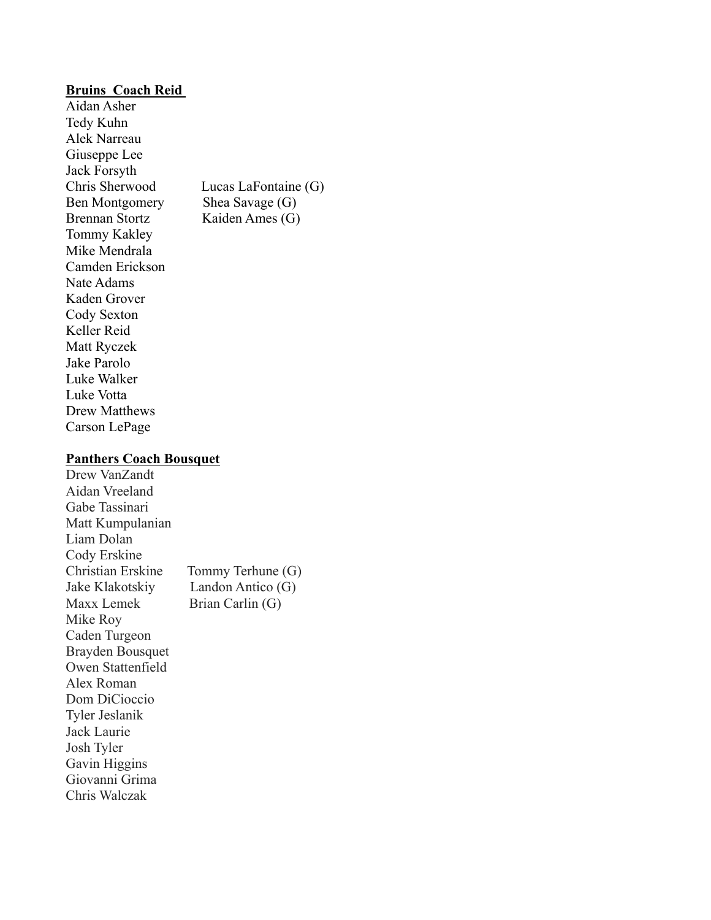## **Bruins Coach Reid**

Aidan Asher Tedy Kuhn Alek Narreau Giuseppe Lee Jack Forsyth Ben Montgomery Shea Savage (G) Brennan Stortz Kaiden Ames (G) Tommy Kakley Mike Mendrala Camden Erickson Nate Adams Kaden Grover Cody Sexton Keller Reid Matt Ryczek Jake Parolo Luke Walker Luke Votta Drew Matthews Carson LePage

Chris Sherwood Lucas LaFontaine (G)

#### **Panthers Coach Bousquet**

Drew VanZandt Aidan Vreeland Gabe Tassinari Matt Kumpulanian Liam Dolan Cody Erskine Christian Erskine Tommy Terhune (G) Jake Klakotskiy Landon Antico (G) Maxx Lemek Brian Carlin (G) Mike Roy Caden Turgeon Brayden Bousquet Owen Stattenfield Alex Roman Dom DiCioccio Tyler Jeslanik Jack Laurie Josh Tyler Gavin Higgins Giovanni Grima Chris Walczak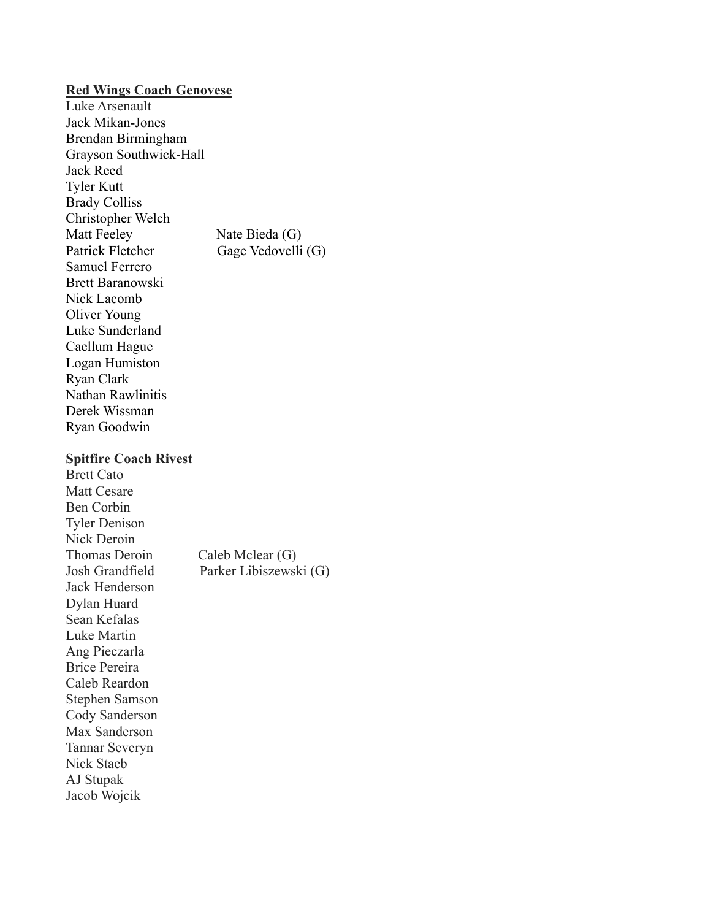### **Red Wings Coach Genovese**

Luke Arsenault Jack Mikan-Jones Brendan Birmingham Grayson Southwick-Hall Jack Reed Tyler Kutt Brady Colliss Christopher Welch Matt Feeley Nate Bieda (G) Patrick Fletcher Gage Vedovelli (G) Samuel Ferrero Brett Baranowski Nick Lacomb Oliver Young Luke Sunderland Caellum Hague Logan Humiston Ryan Clark Nathan Rawlinitis Derek Wissman Ryan Goodwin

## **Spitfire Coach Rivest**

Brett Cato Matt Cesare Ben Corbin Tyler Denison Nick Deroin Thomas Deroin Caleb Mclear (G) Josh Grandfield Parker Libiszewski (G) Jack Henderson Dylan Huard Sean Kefalas Luke Martin Ang Pieczarla Brice Pereira Caleb Reardon Stephen Samson Cody Sanderson Max Sanderson Tannar Severyn Nick Staeb AJ Stupak Jacob Wojcik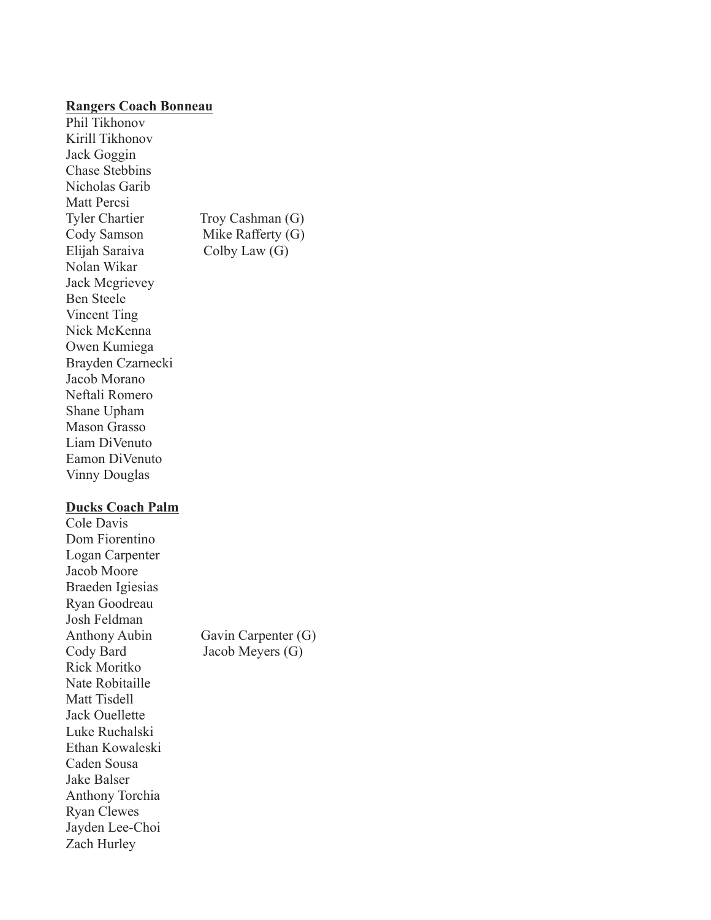#### **Rangers Coach Bonneau**

Phil Tikhonov Kirill Tikhonov Jack Goggin Chase Stebbins Nicholas Garib Matt Percsi Tyler Chartier Troy Cashman (G) Cody Samson Mike Rafferty (G) Elijah Saraiva Colby Law (G) Nolan Wikar Jack Mcgrievey Ben Steele Vincent Ting Nick McKenna Owen Kumiega Brayden Czarnecki Jacob Morano Neftali Romero Shane Upham Mason Grasso Liam DiVenuto Eamon DiVenuto Vinny Douglas

# **Ducks Coach Palm**

Cole Davis Dom Fiorentino Logan Carpenter Jacob Moore Braeden Igiesias Ryan Goodreau Josh Feldman Anthony Aubin Gavin Carpenter (G) Cody Bard Jacob Meyers (G) Rick Moritko Nate Robitaille Matt Tisdell Jack Ouellette Luke Ruchalski Ethan Kowaleski Caden Sousa Jake Balser Anthony Torchia Ryan Clewes Jayden Lee-Choi Zach Hurley